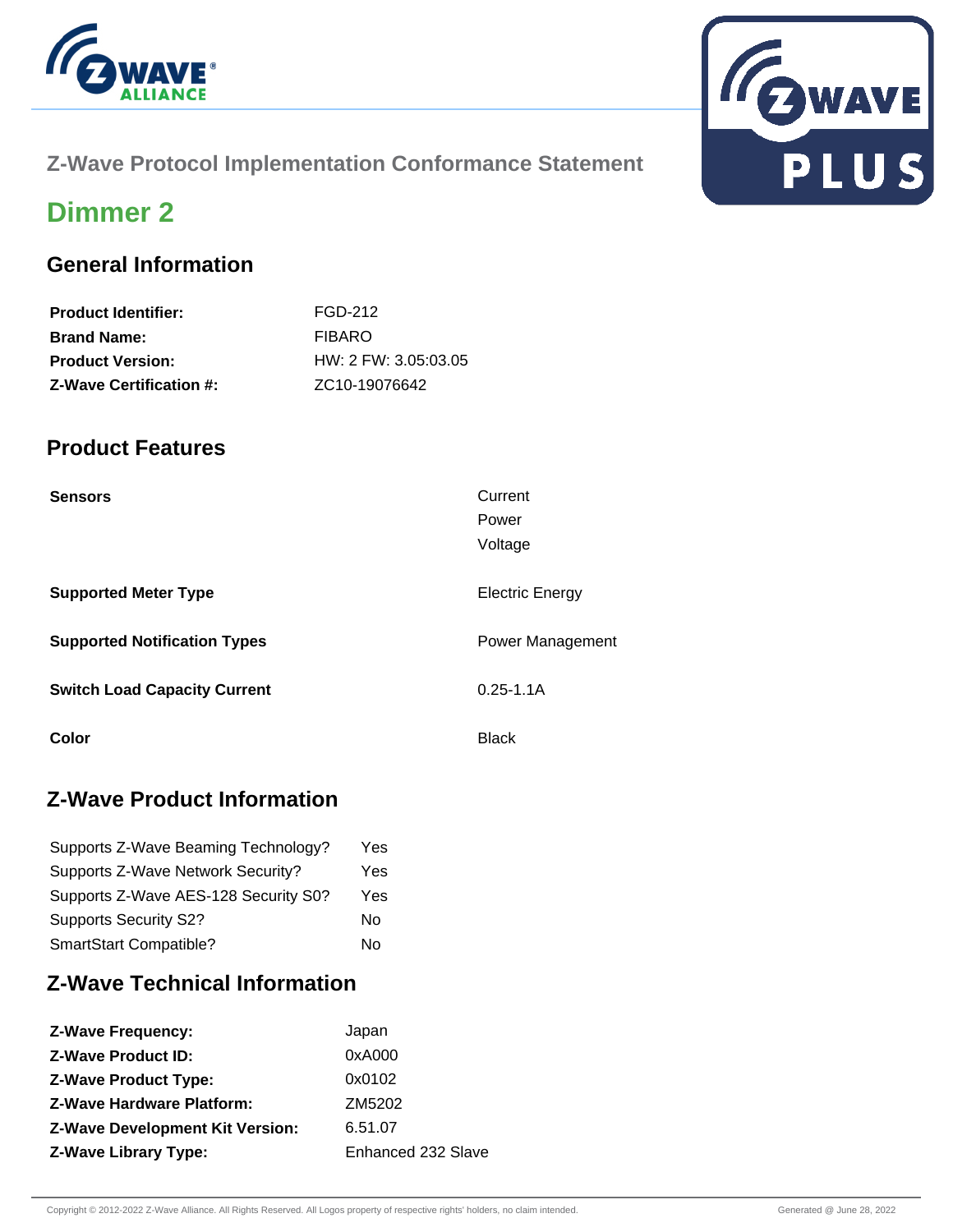

# **Z-Wave Protocol Implementation Conformance Statement**



# **Dimmer 2**

### **General Information**

| <b>Product Identifier:</b>     | FGD-212                    |
|--------------------------------|----------------------------|
| <b>Brand Name:</b>             | <b>FIBARO</b>              |
| <b>Product Version:</b>        | $HW: 2$ FW: 3.05:03.05     |
| <b>Z-Wave Certification #:</b> | ZC <sub>10</sub> -19076642 |

### **Product Features**

| <b>Sensors</b>                      | Current<br>Power<br>Voltage |
|-------------------------------------|-----------------------------|
| <b>Supported Meter Type</b>         | <b>Electric Energy</b>      |
| <b>Supported Notification Types</b> | <b>Power Management</b>     |
| <b>Switch Load Capacity Current</b> | $0.25 - 1.1A$               |
| Color                               | <b>Black</b>                |

## **Z-Wave Product Information**

| Supports Z-Wave Beaming Technology?  | Yes. |
|--------------------------------------|------|
| Supports Z-Wave Network Security?    | Yes  |
| Supports Z-Wave AES-128 Security S0? | Yes  |
| <b>Supports Security S2?</b>         | No   |
| SmartStart Compatible?               | No   |

## **Z-Wave Technical Information**

| Japan              |
|--------------------|
| 0xA000             |
| 0x0102             |
| ZM5202             |
| 6.51.07            |
| Enhanced 232 Slave |
|                    |